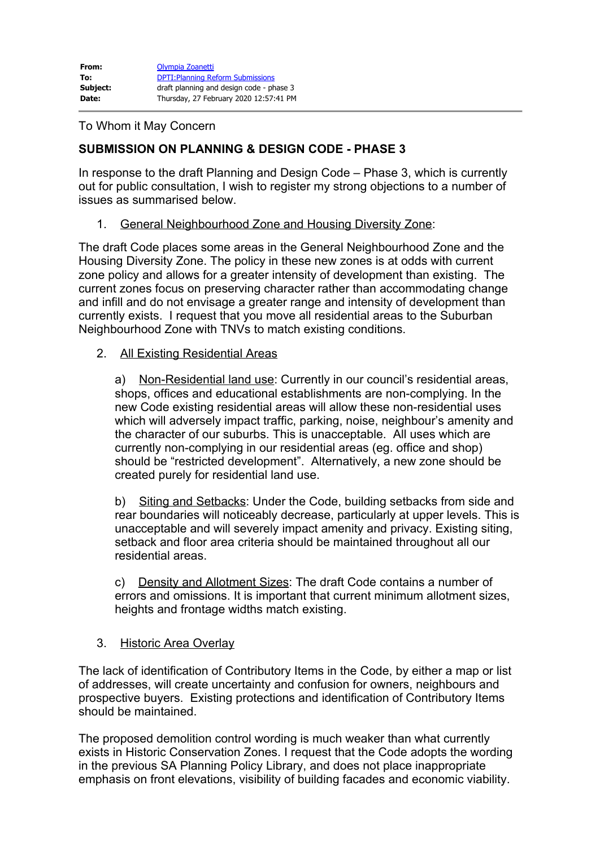## To Whom it May Concern

# **SUBMISSION ON PLANNING & DESIGN CODE - PHASE 3**

In response to the draft Planning and Design Code – Phase 3, which is currently out for public consultation, I wish to register my strong objections to a number of issues as summarised below.

1. General Neighbourhood Zone and Housing Diversity Zone:

The draft Code places some areas in the General Neighbourhood Zone and the Housing Diversity Zone. The policy in these new zones is at odds with current zone policy and allows for a greater intensity of development than existing. The current zones focus on preserving character rather than accommodating change and infill and do not envisage a greater range and intensity of development than currently exists. I request that you move all residential areas to the Suburban Neighbourhood Zone with TNVs to match existing conditions.

#### 2. All Existing Residential Areas

a) Non-Residential land use: Currently in our council's residential areas, shops, offices and educational establishments are non-complying. In the new Code existing residential areas will allow these non-residential uses which will adversely impact traffic, parking, noise, neighbour's amenity and the character of our suburbs. This is unacceptable. All uses which are currently non-complying in our residential areas (eg. office and shop) should be "restricted development". Alternatively, a new zone should be created purely for residential land use.

b) Siting and Setbacks: Under the Code, building setbacks from side and rear boundaries will noticeably decrease, particularly at upper levels. This is unacceptable and will severely impact amenity and privacy. Existing siting, setback and floor area criteria should be maintained throughout all our residential areas.

c) Density and Allotment Sizes: The draft Code contains a number of errors and omissions. It is important that current minimum allotment sizes, heights and frontage widths match existing.

## 3. Historic Area Overlay

The lack of identification of Contributory Items in the Code, by either a map or list of addresses, will create uncertainty and confusion for owners, neighbours and prospective buyers. Existing protections and identification of Contributory Items should be maintained.

The proposed demolition control wording is much weaker than what currently exists in Historic Conservation Zones. I request that the Code adopts the wording in the previous SA Planning Policy Library, and does not place inappropriate emphasis on front elevations, visibility of building facades and economic viability.